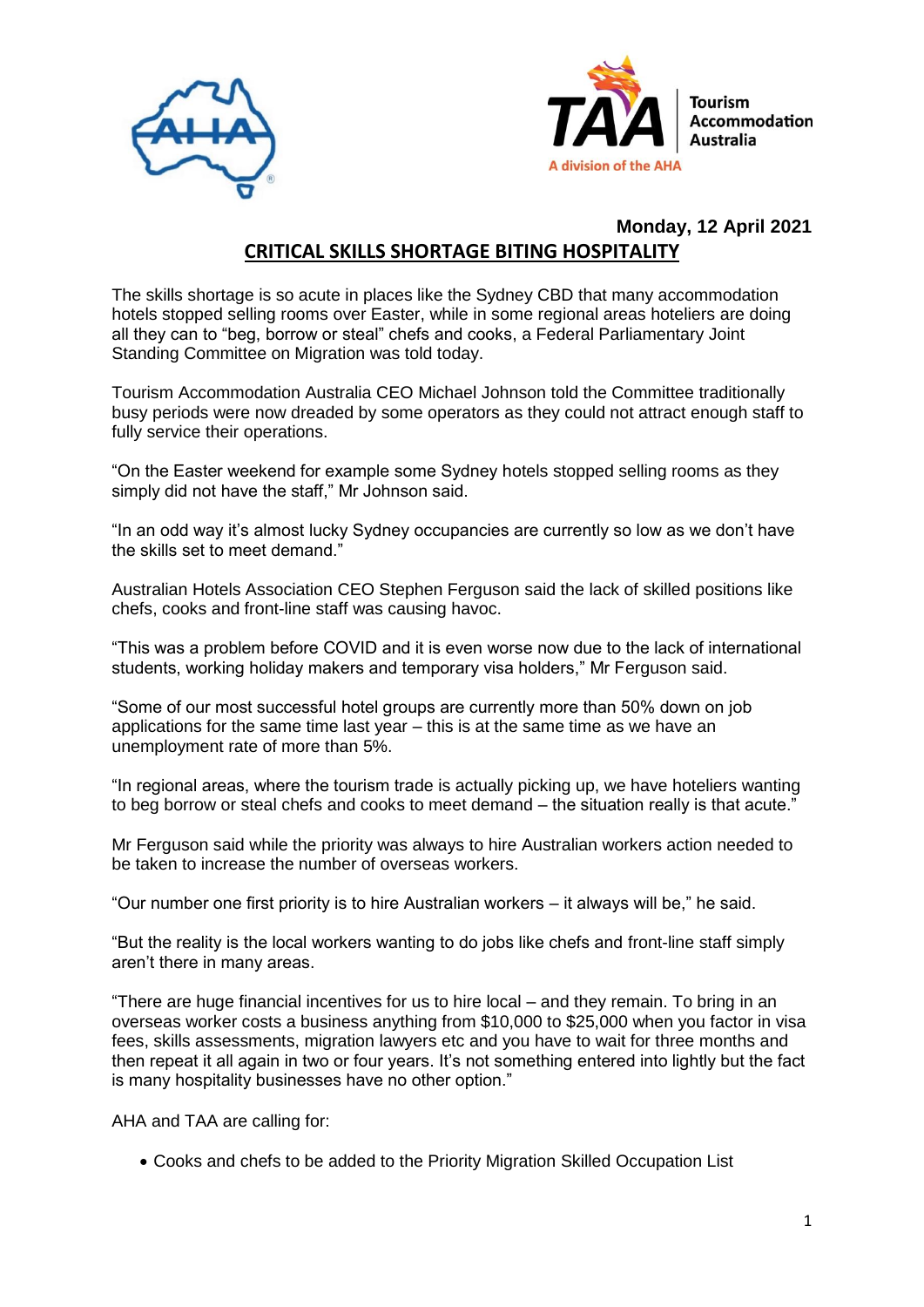



## **Monday, 12 April 2021 CRITICAL SKILLS SHORTAGE BITING HOSPITALITY**

The skills shortage is so acute in places like the Sydney CBD that many accommodation hotels stopped selling rooms over Easter, while in some regional areas hoteliers are doing all they can to "beg, borrow or steal" chefs and cooks, a Federal Parliamentary Joint Standing Committee on Migration was told today.

Tourism Accommodation Australia CEO Michael Johnson told the Committee traditionally busy periods were now dreaded by some operators as they could not attract enough staff to fully service their operations.

"On the Easter weekend for example some Sydney hotels stopped selling rooms as they simply did not have the staff," Mr Johnson said.

"In an odd way it's almost lucky Sydney occupancies are currently so low as we don't have the skills set to meet demand."

Australian Hotels Association CEO Stephen Ferguson said the lack of skilled positions like chefs, cooks and front-line staff was causing havoc.

"This was a problem before COVID and it is even worse now due to the lack of international students, working holiday makers and temporary visa holders," Mr Ferguson said.

"Some of our most successful hotel groups are currently more than 50% down on job applications for the same time last year – this is at the same time as we have an unemployment rate of more than 5%.

"In regional areas, where the tourism trade is actually picking up, we have hoteliers wanting to beg borrow or steal chefs and cooks to meet demand – the situation really is that acute."

Mr Ferguson said while the priority was always to hire Australian workers action needed to be taken to increase the number of overseas workers.

"Our number one first priority is to hire Australian workers – it always will be," he said.

"But the reality is the local workers wanting to do jobs like chefs and front-line staff simply aren't there in many areas.

"There are huge financial incentives for us to hire local – and they remain. To bring in an overseas worker costs a business anything from \$10,000 to \$25,000 when you factor in visa fees, skills assessments, migration lawyers etc and you have to wait for three months and then repeat it all again in two or four years. It's not something entered into lightly but the fact is many hospitality businesses have no other option."

AHA and TAA are calling for:

Cooks and chefs to be added to the Priority Migration Skilled Occupation List